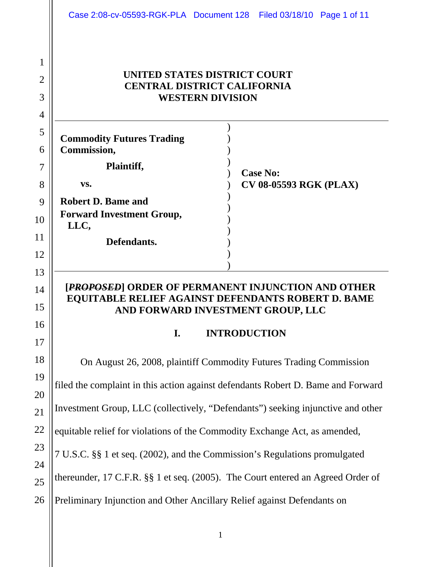## **UNITED STATES DISTRICT COURT CENTRAL DISTRICT CALIFORNIA WESTERN DIVISION**

| <b>Commodity Futures Trading</b><br>Commission, |                        |
|-------------------------------------------------|------------------------|
| Plaintiff,                                      | <b>Case No:</b>        |
| VS.                                             | CV 08-05593 RGK (PLAX) |
| <b>Robert D. Bame and</b>                       |                        |
| <b>Forward Investment Group,</b><br>LLC,        |                        |
| Defendants.                                     |                        |
|                                                 |                        |
|                                                 |                        |

## **[***PROPOSED***] ORDER OF PERMANENT INJUNCTION AND OTHER EQUITABLE RELIEF AGAINST DEFENDANTS ROBERT D. BAME AND FORWARD INVESTMENT GROUP, LLC**

## **I. INTRODUCTION**

On August 26, 2008, plaintiff Commodity Futures Trading Commission filed the complaint in this action against defendants Robert D. Bame and Forward Investment Group, LLC (collectively, "Defendants") seeking injunctive and other equitable relief for violations of the Commodity Exchange Act, as amended, 7 U.S.C. §§ 1 et seq. (2002), and the Commission's Regulations promulgated thereunder, 17 C.F.R. §§ 1 et seq. (2005). The Court entered an Agreed Order of Preliminary Injunction and Other Ancillary Relief against Defendants on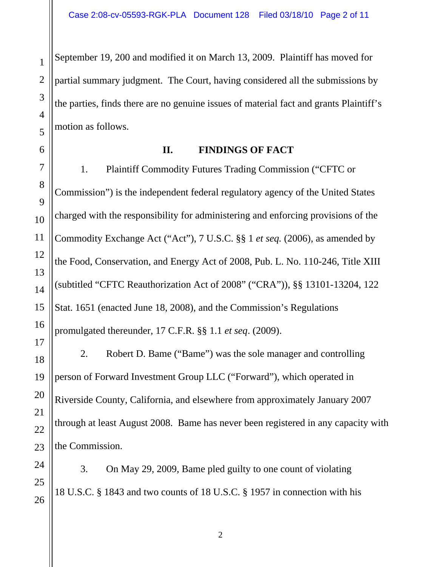September 19, 200 and modified it on March 13, 2009. Plaintiff has moved for partial summary judgment. The Court, having considered all the submissions by the parties, finds there are no genuine issues of material fact and grants Plaintiff's motion as follows.

### **II. FINDINGS OF FACT**

1. Plaintiff Commodity Futures Trading Commission ("CFTC or Commission") is the independent federal regulatory agency of the United States charged with the responsibility for administering and enforcing provisions of the Commodity Exchange Act ("Act"), 7 U.S.C. §§ 1 *et seq.* (2006), as amended by the Food, Conservation, and Energy Act of 2008, Pub. L. No. 110-246, Title XIII (subtitled "CFTC Reauthorization Act of 2008" ("CRA")), §§ 13101-13204, 122 Stat. 1651 (enacted June 18, 2008), and the Commission's Regulations promulgated thereunder, 17 C.F.R. §§ 1.1 *et seq*. (2009).

2. Robert D. Bame ("Bame") was the sole manager and controlling person of Forward Investment Group LLC ("Forward"), which operated in Riverside County, California, and elsewhere from approximately January 2007 through at least August 2008. Bame has never been registered in any capacity with the Commission.

3. On May 29, 2009, Bame pled guilty to one count of violating 18 U.S.C. § 1843 and two counts of 18 U.S.C. § 1957 in connection with his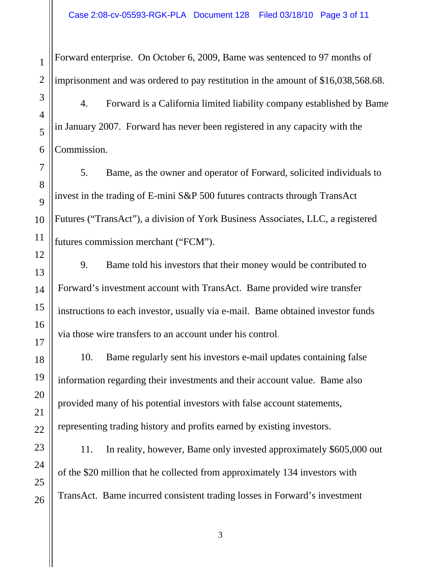Forward enterprise. On October 6, 2009, Bame was sentenced to 97 months of imprisonment and was ordered to pay restitution in the amount of \$16,038,568.68.

4. Forward is a California limited liability company established by Bame in January 2007. Forward has never been registered in any capacity with the Commission.

5. Bame, as the owner and operator of Forward, solicited individuals to invest in the trading of E-mini S&P 500 futures contracts through TransAct Futures ("TransAct"), a division of York Business Associates, LLC, a registered futures commission merchant ("FCM").

9. Bame told his investors that their money would be contributed to Forward's investment account with TransAct. Bame provided wire transfer instructions to each investor, usually via e-mail. Bame obtained investor funds via those wire transfers to an account under his control.

10. Bame regularly sent his investors e-mail updates containing false information regarding their investments and their account value. Bame also provided many of his potential investors with false account statements, representing trading history and profits earned by existing investors.

11. In reality, however, Bame only invested approximately \$605,000 out of the \$20 million that he collected from approximately 134 investors with TransAct. Bame incurred consistent trading losses in Forward's investment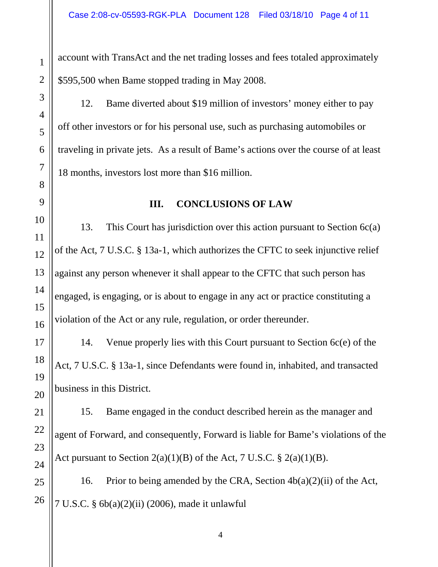account with TransAct and the net trading losses and fees totaled approximately \$595,500 when Bame stopped trading in May 2008.

12. Bame diverted about \$19 million of investors' money either to pay off other investors or for his personal use, such as purchasing automobiles or traveling in private jets. As a result of Bame's actions over the course of at least 18 months, investors lost more than \$16 million.

## **III. CONCLUSIONS OF LAW**

13. This Court has jurisdiction over this action pursuant to Section 6c(a) of the Act, 7 U.S.C. § 13a-1, which authorizes the CFTC to seek injunctive relief against any person whenever it shall appear to the CFTC that such person has engaged, is engaging, or is about to engage in any act or practice constituting a violation of the Act or any rule, regulation, or order thereunder.

14. Venue properly lies with this Court pursuant to Section 6c(e) of the Act, 7 U.S.C. § 13a-1, since Defendants were found in, inhabited, and transacted business in this District.

15. Bame engaged in the conduct described herein as the manager and agent of Forward, and consequently, Forward is liable for Bame's violations of the Act pursuant to Section  $2(a)(1)(B)$  of the Act, 7 U.S.C. §  $2(a)(1)(B)$ .

16. Prior to being amended by the CRA, Section  $4b(a)(2)(ii)$  of the Act, 7 U.S.C. § 6b(a)(2)(ii) (2006), made it unlawful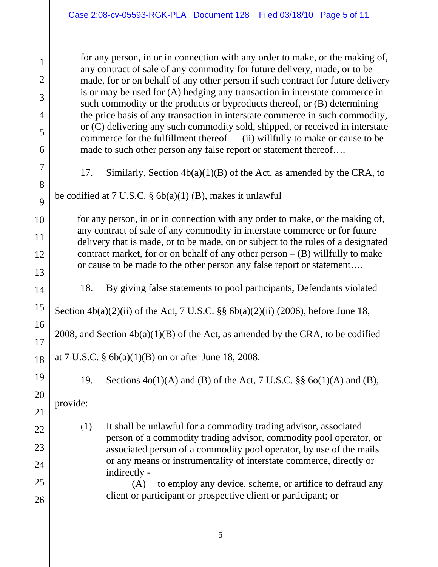for any person, in or in connection with any order to make, or the making of, any contract of sale of any commodity for future delivery, made, or to be made, for or on behalf of any other person if such contract for future delivery is or may be used for (A) hedging any transaction in interstate commerce in such commodity or the products or byproducts thereof, or (B) determining the price basis of any transaction in interstate commerce in such commodity, or (C) delivering any such commodity sold, shipped, or received in interstate commerce for the fulfillment thereof  $-$  (ii) willfully to make or cause to be made to such other person any false report or statement thereof….

17. Similarly, Section  $4b(a)(1)(B)$  of the Act, as amended by the CRA, to

be codified at 7 U.S.C. § 6b(a)(1) (B), makes it unlawful

for any person, in or in connection with any order to make, or the making of, any contract of sale of any commodity in interstate commerce or for future delivery that is made, or to be made, on or subject to the rules of a designated contract market, for or on behalf of any other person  $-$  (B) willfully to make or cause to be made to the other person any false report or statement….

18. By giving false statements to pool participants, Defendants violated

Section 4b(a)(2)(ii) of the Act, 7 U.S.C. §§ 6b(a)(2)(ii) (2006), before June 18,

2008, and Section  $4b(a)(1)(B)$  of the Act, as amended by the CRA, to be codified

18 at 7 U.S.C. § 6b(a)(1)(B) on or after June 18, 2008.

19. Sections  $4o(1)(A)$  and (B) of the Act, 7 U.S.C. §§  $6o(1)(A)$  and (B),

provide:

1

2

3

4

5

6

7

8

 $\overline{Q}$ 

10

11

12

13

14

15

16

17

19

20

21

22

23

24

25

26

(1) It shall be unlawful for a commodity trading advisor, associated person of a commodity trading advisor, commodity pool operator, or associated person of a commodity pool operator, by use of the mails or any means or instrumentality of interstate commerce, directly or indirectly -

(A) to employ any device, scheme, or artifice to defraud any client or participant or prospective client or participant; or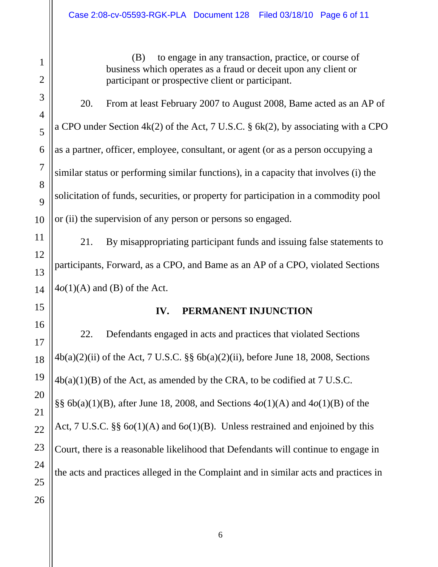(B) to engage in any transaction, practice, or course of business which operates as a fraud or deceit upon any client or participant or prospective client or participant.

20. From at least February 2007 to August 2008, Bame acted as an AP of a CPO under Section 4k(2) of the Act, 7 U.S.C. § 6k(2), by associating with a CPO as a partner, officer, employee, consultant, or agent (or as a person occupying a similar status or performing similar functions), in a capacity that involves (i) the solicitation of funds, securities, or property for participation in a commodity pool or (ii) the supervision of any person or persons so engaged.

21. By misappropriating participant funds and issuing false statements to participants, Forward, as a CPO, and Bame as an AP of a CPO, violated Sections 4*o*(1)(A) and (B) of the Act.

# 15

1

2

3

4

5

6

7

8

9

10

11

12

13

14

17

18

19

20

21

22

23

24

25

## **IV. PERMANENT INJUNCTION**

16 26 22. Defendants engaged in acts and practices that violated Sections  $4b(a)(2)(ii)$  of the Act, 7 U.S.C. §§  $6b(a)(2)(ii)$ , before June 18, 2008, Sections  $4b(a)(1)(B)$  of the Act, as amended by the CRA, to be codified at 7 U.S.C. §§ 6b(a)(1)(B), after June 18, 2008, and Sections 4*o*(1)(A) and 4*o*(1)(B) of the Act, 7 U.S.C. §§ 6*o*(1)(A) and 6*o*(1)(B). Unless restrained and enjoined by this Court, there is a reasonable likelihood that Defendants will continue to engage in the acts and practices alleged in the Complaint and in similar acts and practices in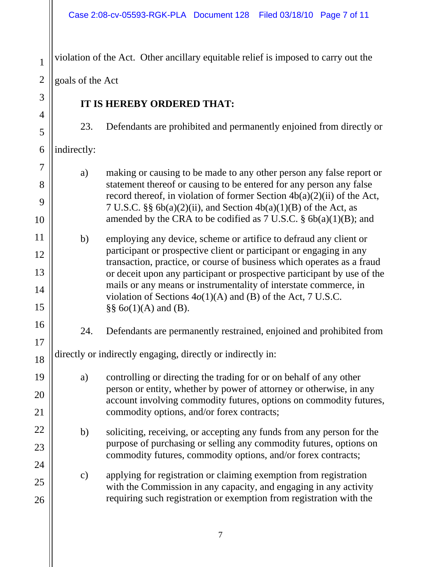violation of the Act. Other ancillary equitable relief is imposed to carry out the

goals of the Act

# **IT IS HEREBY ORDERED THAT:**

23. Defendants are prohibited and permanently enjoined from directly or

6 indirectly:

1

2

3

4

5

17

19

20

21

22

23

24

25

26

7 8 9 10 11 12 13 14 15 16 a) making or causing to be made to any other person any false report or statement thereof or causing to be entered for any person any false record thereof, in violation of former Section 4b(a)(2)(ii) of the Act, 7 U.S.C. §§  $6b(a)(2)(ii)$ , and Section  $4b(a)(1)(B)$  of the Act, as amended by the CRA to be codified as  $7 \text{ U.S.C. }$   $\frac{6}{5}$  6b(a)(1)(B); and b) employing any device, scheme or artifice to defraud any client or participant or prospective client or participant or engaging in any transaction, practice, or course of business which operates as a fraud or deceit upon any participant or prospective participant by use of the mails or any means or instrumentality of interstate commerce, in violation of Sections 4*o*(1)(A) and (B) of the Act, 7 U.S.C. §§ 6*o*(1)(A) and (B).

24. Defendants are permanently restrained, enjoined and prohibited from

18 directly or indirectly engaging, directly or indirectly in:

- a) controlling or directing the trading for or on behalf of any other person or entity, whether by power of attorney or otherwise, in any account involving commodity futures, options on commodity futures, commodity options, and/or forex contracts;
- b) soliciting, receiving, or accepting any funds from any person for the purpose of purchasing or selling any commodity futures, options on commodity futures, commodity options, and/or forex contracts;
- c) applying for registration or claiming exemption from registration with the Commission in any capacity, and engaging in any activity requiring such registration or exemption from registration with the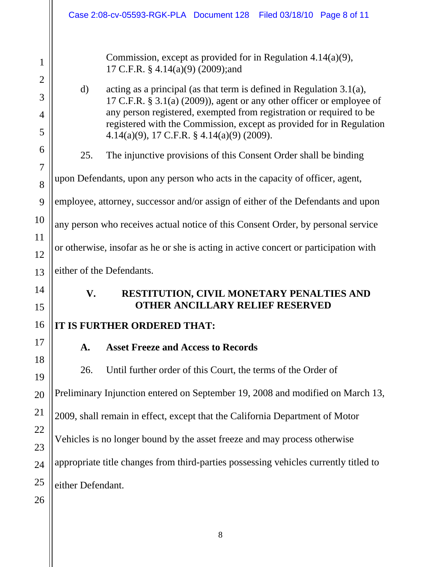|                                    |                                                                                      | Case 2:08-cv-05593-RGK-PLA Document 128 Filed 03/18/10 Page 8 of 11                                                                                                                                                                                                                                                                                                                                                                                           |  |  |
|------------------------------------|--------------------------------------------------------------------------------------|---------------------------------------------------------------------------------------------------------------------------------------------------------------------------------------------------------------------------------------------------------------------------------------------------------------------------------------------------------------------------------------------------------------------------------------------------------------|--|--|
| 1<br>$\overline{2}$<br>3<br>4<br>5 | $\rm d)$                                                                             | Commission, except as provided for in Regulation $4.14(a)(9)$ ,<br>17 C.F.R. § 4.14(a)(9) (2009);and<br>acting as a principal (as that term is defined in Regulation $3.1(a)$ ,<br>17 C.F.R. $\S$ 3.1(a) (2009)), agent or any other officer or employee of<br>any person registered, exempted from registration or required to be<br>registered with the Commission, except as provided for in Regulation<br>$4.14(a)(9)$ , 17 C.F.R. § $4.14(a)(9)$ (2009). |  |  |
| 6                                  | 25.                                                                                  | The injunctive provisions of this Consent Order shall be binding                                                                                                                                                                                                                                                                                                                                                                                              |  |  |
| $\overline{7}$<br>8                | upon Defendants, upon any person who acts in the capacity of officer, agent,         |                                                                                                                                                                                                                                                                                                                                                                                                                                                               |  |  |
| 9                                  | employee, attorney, successor and/or assign of either of the Defendants and upon     |                                                                                                                                                                                                                                                                                                                                                                                                                                                               |  |  |
| 10                                 | any person who receives actual notice of this Consent Order, by personal service     |                                                                                                                                                                                                                                                                                                                                                                                                                                                               |  |  |
| 11<br>12                           | or otherwise, insofar as he or she is acting in active concert or participation with |                                                                                                                                                                                                                                                                                                                                                                                                                                                               |  |  |
| 13                                 | either of the Defendants.                                                            |                                                                                                                                                                                                                                                                                                                                                                                                                                                               |  |  |
| 14                                 | V.                                                                                   | RESTITUTION, CIVIL MONETARY PENALTIES AND                                                                                                                                                                                                                                                                                                                                                                                                                     |  |  |
| 15                                 |                                                                                      | <b>OTHER ANCILLARY RELIEF RESERVED</b>                                                                                                                                                                                                                                                                                                                                                                                                                        |  |  |
| 16                                 |                                                                                      | IT IS FURTHER ORDERED THAT:                                                                                                                                                                                                                                                                                                                                                                                                                                   |  |  |
| 17                                 | A.                                                                                   | <b>Asset Freeze and Access to Records</b>                                                                                                                                                                                                                                                                                                                                                                                                                     |  |  |
| 18                                 | 26.                                                                                  | Until further order of this Court, the terms of the Order of                                                                                                                                                                                                                                                                                                                                                                                                  |  |  |
| 19<br>20                           |                                                                                      | Preliminary Injunction entered on September 19, 2008 and modified on March 13,                                                                                                                                                                                                                                                                                                                                                                                |  |  |
| 21                                 |                                                                                      | 2009, shall remain in effect, except that the California Department of Motor                                                                                                                                                                                                                                                                                                                                                                                  |  |  |
| 22                                 |                                                                                      | Vehicles is no longer bound by the asset freeze and may process otherwise                                                                                                                                                                                                                                                                                                                                                                                     |  |  |
| 23<br>24                           |                                                                                      | appropriate title changes from third-parties possessing vehicles currently titled to                                                                                                                                                                                                                                                                                                                                                                          |  |  |
| 25<br>26                           | either Defendant.                                                                    |                                                                                                                                                                                                                                                                                                                                                                                                                                                               |  |  |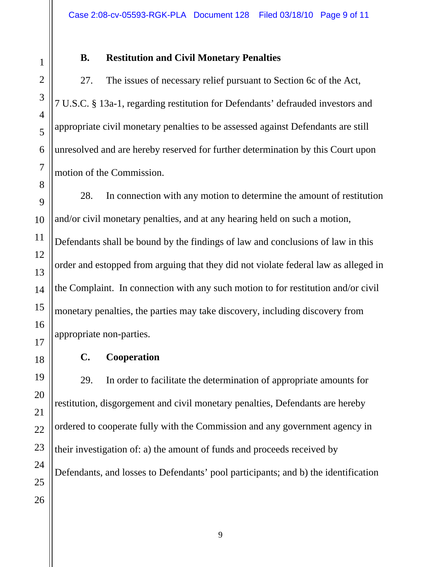## **B. Restitution and Civil Monetary Penalties**

27. The issues of necessary relief pursuant to Section 6c of the Act, 7 U.S.C. § 13a-1, regarding restitution for Defendants' defrauded investors and appropriate civil monetary penalties to be assessed against Defendants are still unresolved and are hereby reserved for further determination by this Court upon motion of the Commission.

28. In connection with any motion to determine the amount of restitution and/or civil monetary penalties, and at any hearing held on such a motion, Defendants shall be bound by the findings of law and conclusions of law in this order and estopped from arguing that they did not violate federal law as alleged in the Complaint. In connection with any such motion to for restitution and/or civil monetary penalties, the parties may take discovery, including discovery from appropriate non-parties.

**C. Cooperation** 

29. In order to facilitate the determination of appropriate amounts for restitution, disgorgement and civil monetary penalties, Defendants are hereby ordered to cooperate fully with the Commission and any government agency in their investigation of: a) the amount of funds and proceeds received by Defendants, and losses to Defendants' pool participants; and b) the identification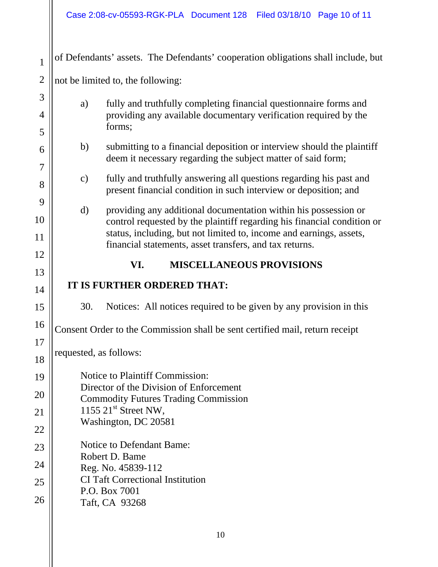# Case 2:08-cv-05593-RGK-PLA Document 128 Filed 03/18/10 Page 10 of 11

of Defendants' assets. The Defendants' cooperation obligations shall include, but

not be limited to, the following:

1

| 3                   | a)                                                                                                                                       | fully and truthfully completing financial questionnaire forms and                                                                                                                                                 |  |
|---------------------|------------------------------------------------------------------------------------------------------------------------------------------|-------------------------------------------------------------------------------------------------------------------------------------------------------------------------------------------------------------------|--|
| 4                   |                                                                                                                                          | providing any available documentary verification required by the<br>forms;                                                                                                                                        |  |
| 5                   |                                                                                                                                          |                                                                                                                                                                                                                   |  |
| 6                   | b)                                                                                                                                       | submitting to a financial deposition or interview should the plaintiff<br>deem it necessary regarding the subject matter of said form;                                                                            |  |
| $\overline{7}$<br>8 | $\mathbf{c})$                                                                                                                            | fully and truthfully answering all questions regarding his past and<br>present financial condition in such interview or deposition; and                                                                           |  |
| 9                   |                                                                                                                                          |                                                                                                                                                                                                                   |  |
| 10                  | $\mathbf{d}$                                                                                                                             | providing any additional documentation within his possession or<br>control requested by the plaintiff regarding his financial condition or<br>status, including, but not limited to, income and earnings, assets, |  |
| 11                  | financial statements, asset transfers, and tax returns.                                                                                  |                                                                                                                                                                                                                   |  |
| 12                  | VI.<br><b>MISCELLANEOUS PROVISIONS</b>                                                                                                   |                                                                                                                                                                                                                   |  |
| 13                  |                                                                                                                                          |                                                                                                                                                                                                                   |  |
| 14                  |                                                                                                                                          | IT IS FURTHER ORDERED THAT:                                                                                                                                                                                       |  |
| 15                  | 30.                                                                                                                                      | Notices: All notices required to be given by any provision in this                                                                                                                                                |  |
| 16                  | Consent Order to the Commission shall be sent certified mail, return receipt                                                             |                                                                                                                                                                                                                   |  |
| 17                  | requested, as follows:                                                                                                                   |                                                                                                                                                                                                                   |  |
| 18                  |                                                                                                                                          |                                                                                                                                                                                                                   |  |
| 19                  | Notice to Plaintiff Commission:                                                                                                          |                                                                                                                                                                                                                   |  |
| 20                  | Director of the Division of Enforcement<br><b>Commodity Futures Trading Commission</b><br>1155 $21st$ Street NW,<br>Washington, DC 20581 |                                                                                                                                                                                                                   |  |
| 21                  |                                                                                                                                          |                                                                                                                                                                                                                   |  |
| 22                  |                                                                                                                                          |                                                                                                                                                                                                                   |  |
| 23                  | Notice to Defendant Bame:                                                                                                                |                                                                                                                                                                                                                   |  |
| 24                  | Robert D. Bame<br>Reg. No. 45839-112                                                                                                     |                                                                                                                                                                                                                   |  |
| 25                  |                                                                                                                                          | <b>CI Taft Correctional Institution</b>                                                                                                                                                                           |  |
| 26                  | P.O. Box 7001                                                                                                                            |                                                                                                                                                                                                                   |  |
|                     |                                                                                                                                          | Taft, CA 93268                                                                                                                                                                                                    |  |
|                     |                                                                                                                                          |                                                                                                                                                                                                                   |  |